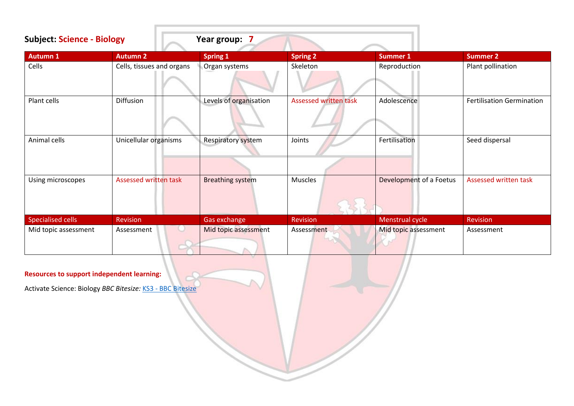| <b>Subject: Science - Biology</b> |                              | Year group: 7           |                              |                         |                                  |
|-----------------------------------|------------------------------|-------------------------|------------------------------|-------------------------|----------------------------------|
| <b>Autumn 1</b>                   | <b>Autumn 2</b>              | <b>Spring 1</b>         | <b>Spring 2</b>              | <b>Summer 1</b>         | <b>Summer 2</b>                  |
| Cells                             | Cells, tissues and organs    | Organ systems           | Skeleton                     | Reproduction            | Plant pollination                |
| Plant cells                       | Diffusion                    | Levels of organisation  | <b>Assessed written task</b> | Adolescence             | <b>Fertilisation Germination</b> |
| Animal cells                      | Unicellular organisms        | Respiratory system      | Joints                       | Fertilisation           | Seed dispersal                   |
| Using microscopes                 | <b>Assessed written task</b> | <b>Breathing system</b> | <b>Muscles</b>               | Development of a Foetus | Assessed written task            |
| Specialised cells                 | <b>Revision</b>              | Gas exchange            | <b>Revision</b>              | Menstrual cycle         | Revision                         |
| Mid topic assessment              | Assessment                   | Mid topic assessment    | Assessment                   | Mid topic assessment    | Assessment                       |

Activate Science: Biology *BBC Bitesize:* KS3 - [BBC Bitesize](https://www.bbc.co.uk/bitesize/levels/z4kw2hv)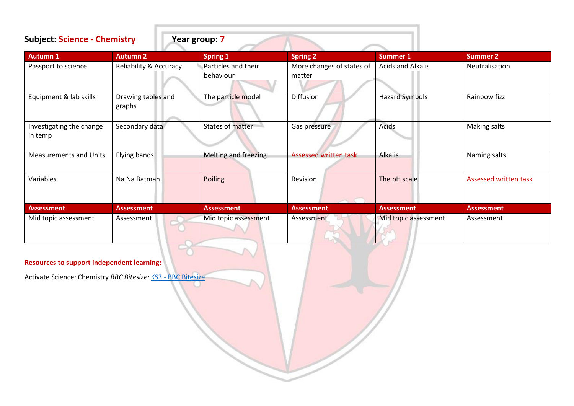| <b>Subject: Science - Chemistry</b> |                                   | Year group: 7                    |                                     |                       |                       |
|-------------------------------------|-----------------------------------|----------------------------------|-------------------------------------|-----------------------|-----------------------|
| <b>Autumn 1</b>                     | <b>Autumn 2</b>                   | <b>Spring 1</b>                  | <b>Spring 2</b>                     | Summer 1              | <b>Summer 2</b>       |
| Passport to science                 | <b>Reliability &amp; Accuracy</b> | Particles and their<br>behaviour | More changes of states of<br>matter | Acids and Alkalis     | Neutralisation        |
| Equipment & lab skills              | Drawing tables and<br>graphs      | The particle model               | Diffusion                           | <b>Hazard Symbols</b> | Rainbow fizz          |
| Investigating the change<br>in temp | Secondary data                    | States of matter                 | Gas pressure                        | Acids                 | Making salts          |
| <b>Measurements and Units</b>       | Flying bands                      | Melting and freezing             | <b>Assessed written task</b>        | <b>Alkalis</b>        | Naming salts          |
| Variables                           | Na Na Batman                      | <b>Boiling</b>                   | Revision                            | The pH scale          | Assessed written task |
| <b>Assessment</b>                   | <b>Assessment</b>                 | <b>Assessment</b>                | <b>Assessment</b>                   | <b>Assessment</b>     | <b>Assessment</b>     |
| Mid topic assessment                | Assessment                        | Mid topic assessment             | Assessment                          | Mid topic assessment  | Assessment            |

Activate Science: Chemistry *BBC Bitesize:* KS3 - [BBC Bitesize](https://www.bbc.co.uk/bitesize/levels/z4kw2hv)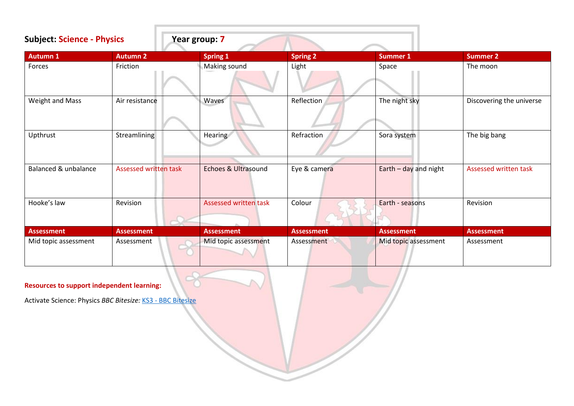| <b>Subject: Science - Physics</b> |                              | Year group: 7         |                   |                         |                          |
|-----------------------------------|------------------------------|-----------------------|-------------------|-------------------------|--------------------------|
| <b>Autumn 1</b>                   | <b>Autumn 2</b>              | <b>Spring 1</b>       | <b>Spring 2</b>   | <b>Summer 1</b>         | <b>Summer 2</b>          |
| Forces                            | Friction                     | Making sound          | Light             | Space                   | The moon                 |
| Weight and Mass                   | Air resistance               | Waves                 | Reflection        | The night sky           | Discovering the universe |
| Upthrust                          | Streamlining                 | Hearing               | Refraction        | Sora system             | The big bang             |
| Balanced & unbalance              | <b>Assessed written task</b> | Echoes & Ultrasound   | Eye & camera      | Earth $-$ day and night | Assessed written task    |
| Hooke's law                       | Revision                     | Assessed written task | Colour            | Earth - seasons         | Revision                 |
| <b>Assessment</b>                 | <b>Assessment</b>            | <b>Assessment</b>     | <b>Assessment</b> | <b>Assessment</b>       | <b>Assessment</b>        |
| Mid topic assessment              | Assessment                   | Mid topic assessment  | Assessment        | Mid topic assessment    | Assessment               |

Activate Science: Physics *BBC Bitesize:* KS3 - [BBC Bitesize](https://www.bbc.co.uk/bitesize/levels/z4kw2hv)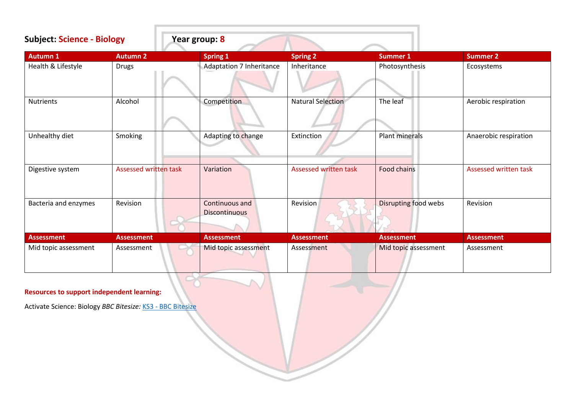| <b>Subject: Science - Biology</b> |                              | Year group: 8                          |                              |                       |                       |  |
|-----------------------------------|------------------------------|----------------------------------------|------------------------------|-----------------------|-----------------------|--|
| <b>Autumn 1</b>                   | <b>Autumn 2</b>              | <b>Spring 1</b>                        | <b>Spring 2</b>              | <b>Summer 1</b>       | <b>Summer 2</b>       |  |
| Health & Lifestyle                | <b>Drugs</b>                 | <b>Adaptation 7 Inheritance</b>        | Inheritance                  | Photosynthesis        | Ecosystems            |  |
| <b>Nutrients</b>                  | Alcohol                      | Competition                            | <b>Natural Selection</b>     | The leaf              | Aerobic respiration   |  |
| Unhealthy diet                    | Smoking                      | Adapting to change                     | Extinction                   | <b>Plant minerals</b> | Anaerobic respiration |  |
| Digestive system                  | <b>Assessed written task</b> | Variation                              | <b>Assessed written task</b> | <b>Food chains</b>    | Assessed written task |  |
| Bacteria and enzymes              | Revision                     | Continuous and<br><b>Discontinuous</b> | <b>Revision</b>              | Disrupting food webs  | Revision              |  |
| Assessment                        | <b>Assessment</b>            | <b>Assessment</b>                      | <b>Assessment</b>            | <b>Assessment</b>     | <b>Assessment</b>     |  |
| Mid topic assessment              | Assessment                   | Mid topic assessment                   | Assessment                   | Mid topic assessment  | Assessment            |  |

Activate Science: Biology *BBC Bitesize:* KS3 - [BBC Bitesize](https://www.bbc.co.uk/bitesize/levels/z4kw2hv)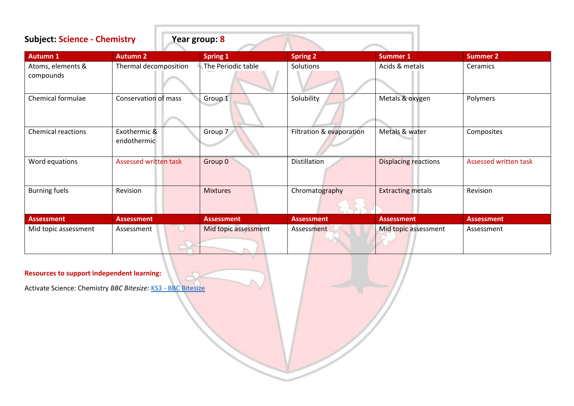| <b>Subject: Science - Chemistry</b> |                              | Year group: 8        |                          |                             |                       |
|-------------------------------------|------------------------------|----------------------|--------------------------|-----------------------------|-----------------------|
| <b>Autumn 1</b>                     | <b>Autumn 2</b>              | <b>Spring 1</b>      | <b>Spring 2</b>          | <b>Summer 1</b>             | <b>Summer 2</b>       |
| Atoms, elements &<br>compounds      | Thermal decomposition        | The Periodic table   | Solutions                | Acids & metals              | Ceramics              |
| Chemical formulae                   | Conservation of mass         | Group 1              | Solubility               | Metals & oxygen             | Polymers              |
| <b>Chemical reactions</b>           | Exothermic &<br>endothermic  | Group 7              | Filtration & evaporation | Metals & water              | Composites            |
| Word equations                      | <b>Assessed written task</b> | Group 0              | Distillation             | <b>Displacing reactions</b> | Assessed written task |
| <b>Burning fuels</b>                | Revision                     | <b>Mixtures</b>      | Chromatography           | <b>Extracting metals</b>    | Revision              |
| Assessment                          | <b>Assessment</b>            | <b>Assessment</b>    | <b>Assessment</b>        | <b>Assessment</b>           | <b>Assessment</b>     |
| Mid topic assessment                | Assessment                   | Mid topic assessment | Assessment               | Mid topic assessment        | Assessment            |

Activate Science: Chemistry *BBC Bitesize:* KS3 - [BBC Bitesize](https://www.bbc.co.uk/bitesize/levels/z4kw2hv)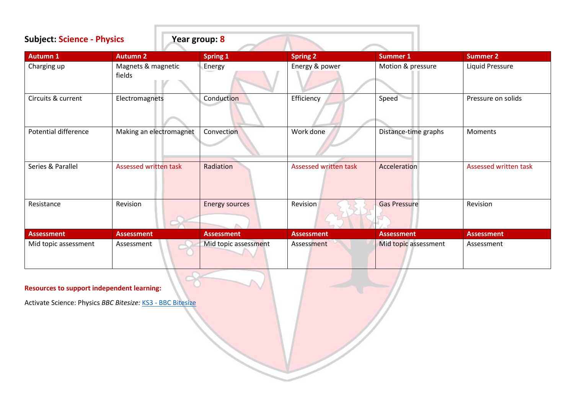| <b>Subject: Science - Physics</b> |                              | Year group: 8         |                       |                      |                       |  |  |
|-----------------------------------|------------------------------|-----------------------|-----------------------|----------------------|-----------------------|--|--|
| <b>Autumn 1</b>                   | <b>Autumn 2</b>              | <b>Spring 1</b>       | <b>Spring 2</b>       | <b>Summer 1</b>      | <b>Summer 2</b>       |  |  |
| Charging up                       | Magnets & magnetic<br>fields | Energy                | Energy & power        | Motion & pressure    | Liquid Pressure       |  |  |
| Circuits & current                | Electromagnets               | Conduction            | Efficiency            | Speed                | Pressure on solids    |  |  |
| <b>Potential difference</b>       | Making an electromagnet      | Convection            | Work done             | Distance-time graphs | Moments               |  |  |
| Series & Parallel                 | Assessed written task        | Radiation             | Assessed written task | Acceleration         | Assessed written task |  |  |
| Resistance                        | Revision                     | <b>Energy sources</b> | Revision              | <b>Gas Pressure</b>  | Revision              |  |  |
| <b>Assessment</b>                 | <b>Assessment</b>            | <b>Assessment</b>     | <b>Assessment</b>     | <b>Assessment</b>    | <b>Assessment</b>     |  |  |
| Mid topic assessment              | Assessment                   | Mid topic assessment  | Assessment            | Mid topic assessment | Assessment            |  |  |

Activate Science: Physics *BBC Bitesize:* KS3 - [BBC Bitesize](https://www.bbc.co.uk/bitesize/levels/z4kw2hv)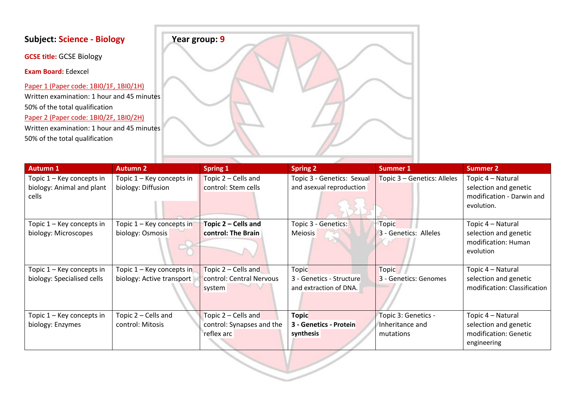**GCSE title:** GCSE Biology

**Exam Board:** Edexcel

Paper 1 (Paper code: 1BI0/1F, 1BI0/1H) Written examination: 1 hour and 45 minutes 50% of the total qualification Paper 2 (Paper code: 1BI0/2F, 1BI0/2H) Written examination: 1 hour and 45 minutes 50% of the total qualification



| <b>Autumn 1</b>                                                 | <b>Autumn 2</b>                                          | <b>Spring 1</b>                                                | <b>Spring 2</b>                                                    | Summer 1                                            | <b>Summer 2</b>                                                                       |
|-----------------------------------------------------------------|----------------------------------------------------------|----------------------------------------------------------------|--------------------------------------------------------------------|-----------------------------------------------------|---------------------------------------------------------------------------------------|
| Topic 1 – Key concepts in<br>biology: Animal and plant<br>cells | Topic 1 - Key concepts in<br>biology: Diffusion          | Topic 2 - Cells and<br>control: Stem cells                     | Topic 3 - Genetics: Sexual<br>and asexual reproduction             | Topic 3 - Genetics: Alleles                         | Topic 4 - Natural<br>selection and genetic<br>modification - Darwin and<br>evolution. |
| Fopic 1 – Key concepts in<br>biology: Microscopes               | Topic 1 - Key concepts in<br>biology: Osmosis            | Topic 2 – Cells and<br>control: The Brain                      | Topic 3 - Genetics:<br>Meiosis                                     | Topic<br>3 - Genetics: Alleles                      | Topic 4 - Natural<br>selection and genetic<br>modification: Human<br>evolution        |
| Topic 1 – Key concepts in<br>biology: Specialised cells         | Topic $1 -$ Key concepts in<br>biology: Active transport | Topic 2 – Cells and<br>control: Central Nervous<br>system      | <b>Topic</b><br>3 - Genetics - Structure<br>and extraction of DNA. | <b>Topic</b><br>3 - Genetics: Genomes               | Topic 4 - Natural<br>selection and genetic<br>modification: Classification            |
| Topic 1 – Key concepts in<br>biology: Enzymes                   | Topic 2 – Cells and<br>control: Mitosis                  | Topic 2 – Cells and<br>control: Synapses and the<br>reflex arc | <b>Topic</b><br>3 - Genetics - Protein<br>synthesis                | Topic 3: Genetics -<br>Inheritance and<br>mutations | Topic 4 - Natural<br>selection and genetic<br>modification: Genetic<br>engineering    |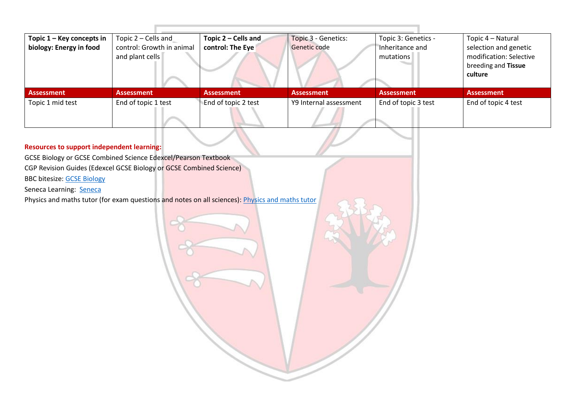| Topic 1 - Key concepts in | Topic 2 – Cells and       | Topic 2 – Cells and | Topic 3 - Genetics:    | Topic 3: Genetics - | Topic 4 – Natural       |
|---------------------------|---------------------------|---------------------|------------------------|---------------------|-------------------------|
| biology: Energy in food   | control: Growth in animal | control: The Eye    | Genetic code           | Inheritance and     | selection and genetic   |
|                           | and plant cells           |                     |                        | mutations           | modification: Selective |
|                           |                           |                     |                        |                     | breeding and Tissue     |
|                           |                           |                     |                        |                     | culture                 |
|                           |                           |                     |                        |                     |                         |
| <b>Assessment</b>         | <b>Assessment</b>         | <b>Assessment</b>   | <b>Assessment</b>      | <b>Assessment</b>   | <b>Assessment</b>       |
| Topic 1 mid test          | End of topic 1 test       | End of topic 2 test | Y9 Internal assessment | End of topic 3 test | End of topic 4 test     |
|                           |                           |                     |                        |                     |                         |

GCSE Biology or GCSE Combined Science Edexcel/Pearson Textbook

CGP Revision Guides (Edexcel GCSE Biology or GCSE Combined Science)

BBC bitesize: [GCSE Biology](https://www.bbc.co.uk/bitesize/subjects/z9ddmp3) 

Seneca Learning: [Seneca](https://senecalearning.com/en-GB/)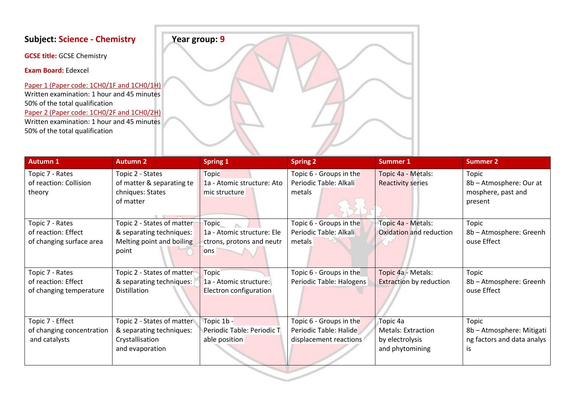**GCSE title:** GCSE Chemistry

**Exam Board:** Edexcel

Paper 1 (Paper code: 1CH0/1F and 1CH0/1H) Written examination: 1 hour and 45 minutes 50% of the total qualification Paper 2 (Paper code: 1CH0/2F and 1CH0/2H) Written examination: 1 hour and 45 minutes 50% of the total qualification



| <b>Autumn 1</b>                                                   | <b>Autumn 2</b>                                                                              | <b>Spring 1</b>                                                  | <b>Spring 2</b>                                                             | <b>Summer 1</b>                                                             | <b>Summer 2</b>                                                        |
|-------------------------------------------------------------------|----------------------------------------------------------------------------------------------|------------------------------------------------------------------|-----------------------------------------------------------------------------|-----------------------------------------------------------------------------|------------------------------------------------------------------------|
| Topic 7 - Rates<br>of reaction: Collision<br>theory               | Topic 2 - States<br>of matter & separating te<br>chniques: States<br>of matter               | Topic<br>1a - Atomic structure: Ato<br>mic structure             | Topic 6 - Groups in the<br>Periodic Table: Alkali<br>metals                 | Topic 4a - Metals:<br><b>Reactivity series</b>                              | Topic<br>8b - Atmosphere: Our at<br>mosphere, past and<br>present      |
| Topic 7 - Rates                                                   | Topic 2 - States of matter                                                                   | <b>Topic</b>                                                     | Topic 6 - Groups in the                                                     | Topic 4a - Metals:                                                          | Topic                                                                  |
| of reaction: Effect<br>of changing surface area                   | & separating techniques:<br>Melting point and boiling<br>point                               | 1a - Atomic structure: Ele<br>ctrons, protons and neutr<br>ons   | Periodic Table: Alkali<br>metals                                            | Oxidation and reduction                                                     | 8b - Atmosphere: Greenh<br>ouse Effect                                 |
| Topic 7 - Rates<br>of reaction: Effect<br>of changing temperature | Topic 2 - States of matter<br>& separating techniques:<br>Distillation                       | <b>Topic</b><br>1a - Atomic structure:<br>Electron configuration | Topic 6 - Groups in the<br>Periodic Table: Halogens                         | Topic 4a - Metals:<br><b>Extraction by reduction</b>                        | Topic<br>8b - Atmosphere: Greenh<br>ouse Effect                        |
| Topic 7 - Effect<br>of changing concentration<br>and catalysts    | Topic 2 - States of matter<br>& separating techniques:<br>Crystallisation<br>and evaporation | Topic 1b -<br>Periodic Table: Periodic T<br>able position        | Topic 6 - Groups in the<br>Periodic Table: Halide<br>displacement reactions | Topic 4a<br><b>Metals: Extraction</b><br>by electrolysis<br>and phytomining | Topic<br>8b - Atmosphere: Mitigati<br>ng factors and data analys<br>IS |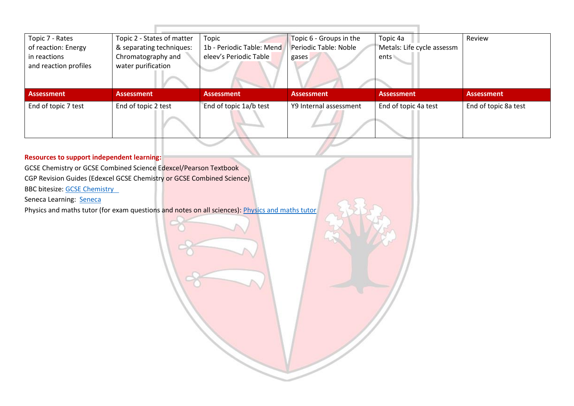| Topic 7 - Rates       | Topic 2 - States of matter | Topic                     | Topic 6 - Groups in the | Topic 4a                   | Review               |
|-----------------------|----------------------------|---------------------------|-------------------------|----------------------------|----------------------|
| of reaction: Energy   | & separating techniques:   | 1b - Periodic Table: Mend | Periodic Table: Noble   | Metals: Life cycle assessm |                      |
| in reactions          | Chromatography and         | eleev's Periodic Table    | gases                   | ents \                     |                      |
| and reaction profiles | water purification         |                           |                         |                            |                      |
|                       |                            |                           |                         |                            |                      |
|                       |                            |                           |                         |                            |                      |
|                       |                            |                           |                         |                            |                      |
| <b>Assessment</b>     | <b>Assessment</b>          | <b>Assessment</b>         | <b>Assessment</b>       | <b>Assessment</b>          | <b>Assessment</b>    |
| End of topic 7 test   | End of topic 2 test        | End of topic 1a/b test    | Y9 Internal assessment  | End of topic 4a test       | End of topic 8a test |

GCSE Chemistry or GCSE Combined Science Edexcel/Pearson Textbook CGP Revision Guides (Edexcel GCSE Chemistry or GCSE Combined Science)

BBC bitesize: GCSE Chemistry

Seneca Learning: [Seneca](https://senecalearning.com/en-GB/)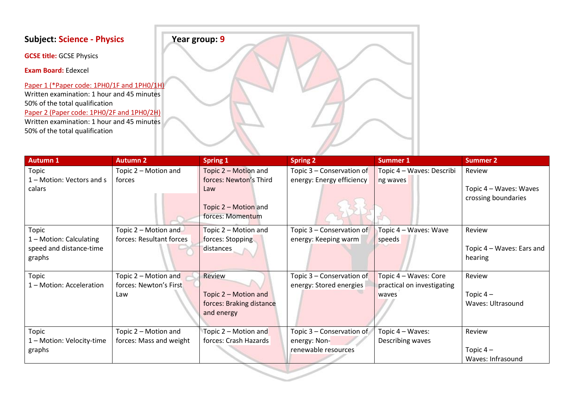**GCSE title:** GCSE Physics

**Exam Board:** Edexcel

Paper 1 (\*Paper code: 1PH0/1F and 1PH0/1H) Written examination: 1 hour and 45 minutes 50% of the total qualification Paper 2 (Paper code: 1PH0/2F and 1PH0/2H) Written examination: 1 hour and 45 minutes 50% of the total qualification



| <b>Autumn 1</b>           | <b>Autumn 2</b>          | <b>Spring 1</b>          | <b>Spring 2</b>           | <b>Summer 1</b>            | <b>Summer 2</b>           |
|---------------------------|--------------------------|--------------------------|---------------------------|----------------------------|---------------------------|
| Topic                     | Topic 2 - Motion and     | Topic 2 - Motion and     | Topic 3 - Conservation of | Topic 4 - Waves: Describi  | Review                    |
| 1 - Motion: Vectors and s | forces                   | forces: Newton's Third   | energy: Energy efficiency | ng waves                   |                           |
| calars                    |                          | Law                      |                           |                            | Topic 4 – Waves: Waves    |
|                           |                          |                          |                           |                            | crossing boundaries       |
|                           |                          | Topic 2 – Motion and     |                           |                            |                           |
|                           |                          | forces: Momentum         |                           |                            |                           |
| Topic                     | Topic 2 - Motion and     | Topic 2 – Motion and     | Topic 3 - Conservation of | Topic 4 - Waves: Wave      | Review                    |
| 1 - Motion: Calculating   | forces: Resultant forces | forces: Stopping         | energy: Keeping warm      | speeds                     |                           |
| speed and distance-time   |                          | distances                |                           |                            | Topic 4 - Waves: Ears and |
| graphs                    |                          |                          |                           |                            | hearing                   |
|                           |                          |                          |                           |                            |                           |
| <b>Topic</b>              | Topic $2 -$ Motion and   | Review                   | Topic 3 - Conservation of | Topic 4 - Waves: Core      | Review                    |
| 1 - Motion: Acceleration  | forces: Newton's First   |                          | energy: Stored energies   | practical on investigating |                           |
|                           | Law                      | Topic 2 - Motion and     |                           | waves                      | Topic $4-$                |
|                           |                          | forces: Braking distance |                           |                            | Waves: Ultrasound         |
|                           |                          | and energy               |                           |                            |                           |
|                           |                          |                          |                           |                            |                           |
| Topic                     | Topic 2 - Motion and     | Topic 2 – Motion and     | Topic 3 - Conservation of | Topic 4 - Waves:           | Review                    |
| 1 - Motion: Velocity-time | forces: Mass and weight  | forces: Crash Hazards    | energy: Non-              | Describing waves           |                           |
| graphs                    |                          |                          | renewable resources       |                            | Topic $4-$                |
|                           |                          |                          |                           |                            | Waves: Infrasound         |
|                           |                          |                          |                           |                            |                           |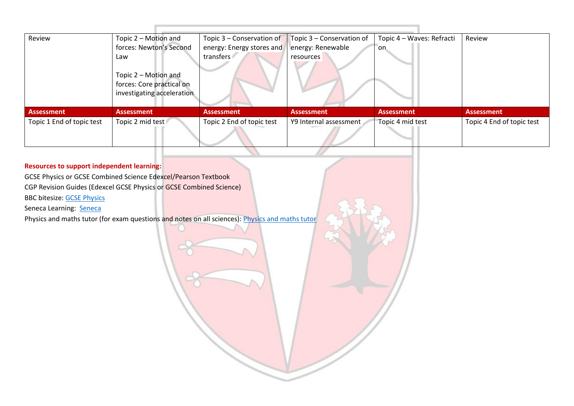| Review                    | Topic 2 – Motion and                                                            | Topic $3$ – Conservation of | Topic 3 - Conservation of | Topic 4 - Waves: Refracti | Review                    |
|---------------------------|---------------------------------------------------------------------------------|-----------------------------|---------------------------|---------------------------|---------------------------|
|                           | forces: Newton's Second                                                         | energy: Energy stores and   | energy: Renewable         | 'on                       |                           |
|                           | Law                                                                             | transfers                   | resources                 |                           |                           |
|                           | Topic 2 – Motion and<br>forces: Core practical on<br>investigating acceleration |                             |                           |                           |                           |
| Assessment                | <b>Assessment</b>                                                               | <b>Assessment</b>           | <b>Assessment</b>         | <b>Assessment</b>         | <b>Assessment</b>         |
| Topic 1 End of topic test | Topic 2 mid test                                                                | Topic 2 End of topic test   | Y9 Internal assessment    | Topic 4 mid test          | Topic 4 End of topic test |
|                           |                                                                                 |                             |                           |                           |                           |

# **Resources to support independent learning:** GCSE Physics or GCSE Combined Science Edexcel/Pearson Textbook CGP Revision Guides (Edexcel GCSE Physics or GCSE Combined Science) BBC bitesize: [GCSE Physics](https://www.bbc.co.uk/bitesize/subjects/zpm6fg8)  Seneca Learning: [Seneca](https://senecalearning.com/en-GB/) [Physics and maths tutor](https://www.physicsandmathstutor.com/) (for exam questions and notes on all sciences): Physics and maths tutor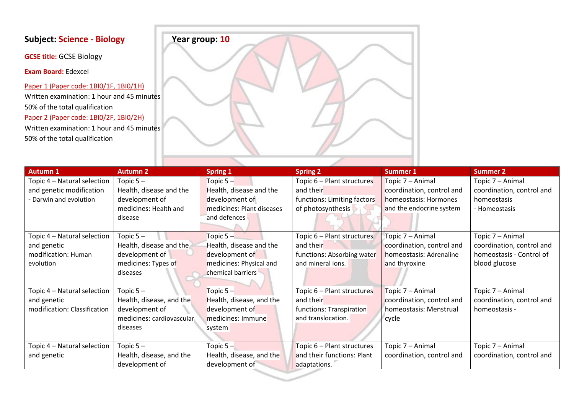**GCSE title:** GCSE Biology

**Exam Board:** Edexcel

Paper 1 (Paper code: 1BI0/1F, 1BI0/1H) Written examination: 1 hour and 45 minutes 50% of the total qualification Paper 2 (Paper code: 1BI0/2F, 1BI0/2H) Written examination: 1 hour and 45 minutes 50% of the total qualification



| <b>Autumn 1</b>              | <b>Autumn 2</b>           | Spring 1                  | <b>Spring 2</b>             | <b>Summer 1</b>           | <b>Summer 2</b>           |
|------------------------------|---------------------------|---------------------------|-----------------------------|---------------------------|---------------------------|
| Topic 4 - Natural selection  | Topic $5-$                | Topic $5 -$               | Topic 6 - Plant structures  | Topic 7 – Animal          | Topic 7 - Animal          |
| and genetic modification     | Health, disease and the   | Health, disease and the   | and their                   | coordination, control and | coordination, control and |
| - Darwin and evolution       | development of            | development of            | functions: Limiting factors | homeostasis: Hormones     | homeostasis               |
|                              | medicines: Health and     | medicines: Plant diseases | of photosynthesis           | and the endocrine system  | - Homeostasis             |
|                              | disease                   | and defences              |                             |                           |                           |
|                              |                           |                           |                             |                           |                           |
| Topic 4 - Natural selection  | Topic $5-$                | Topic $5 -$               | Topic 6 - Plant structures  | Topic 7 - Animal          | Topic 7 - Animal          |
| and genetic                  | Health, disease and the   | Health, disease and the   | and their                   | coordination, control and | coordination, control and |
| modification: Human          | development of            | development of            | functions: Absorbing water  | homeostasis: Adrenaline   | homeostasis - Control of  |
| evolution                    | medicines: Types of       | medicines: Physical and   | and mineral ions.           | and thyroxine             | blood glucose             |
|                              | diseases                  | chemical barriers         |                             |                           |                           |
|                              |                           |                           |                             |                           |                           |
| Topic 4 - Natural selection  | Topic $5-$                | Topic $5-$                | Topic 6 - Plant structures  | Topic 7 - Animal          | Topic 7 - Animal          |
| and genetic                  | Health, disease, and the  | Health, disease, and the  | and their                   | coordination, control and | coordination, control and |
| modification: Classification | development of            | development of            | functions: Transpiration    | homeostasis: Menstrual    | homeostasis -             |
|                              | medicines: cardiovascular | medicines: Immune         | and translocation.          | cycle                     |                           |
|                              | diseases                  | system                    |                             |                           |                           |
|                              |                           |                           |                             |                           |                           |
| Topic 4 - Natural selection  | Topic $5-$                | Topic $5 -$               | Topic 6 - Plant structures  | Topic 7 - Animal          | Topic 7 - Animal          |
| and genetic                  | Health, disease, and the  | Health, disease, and the  | and their functions: Plant  | coordination, control and | coordination, control and |
|                              | development of            | development of            | adaptations.                |                           |                           |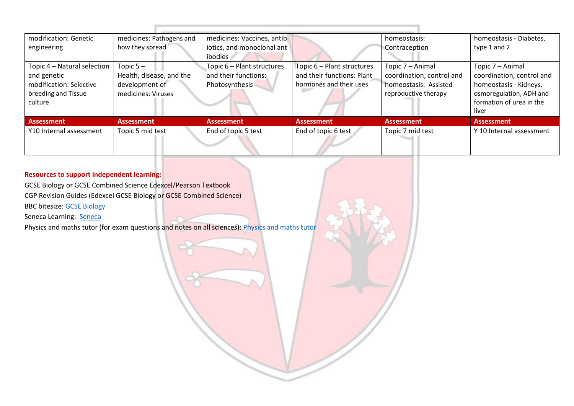| modification: Genetic       | medicines: Pathogens and | medicines: Vaccines, antib |                            | homeostasis:              | homeostasis - Diabetes,   |
|-----------------------------|--------------------------|----------------------------|----------------------------|---------------------------|---------------------------|
| engineering                 | how they spread          | iotics, and monoclonal ant |                            | Contraception             | type 1 and 2              |
|                             |                          | ibodies                    |                            |                           |                           |
| Topic 4 – Natural selection | Topic $5-$               | Topic 6 - Plant structures | Topic 6 – Plant structures | Topic 7 - Animal          | Topic 7 – Animal          |
| and genetic                 | Health, disease, and the | and their functions:       | and their functions: Plant | coordination, control and | coordination, control and |
| modification: Selective     | development of           | Photosynthesis             | hormones and their uses    | homeostasis: Assisted     | homeostasis - Kidneys,    |
| breeding and Tissue         | medicines: Viruses       |                            |                            | reproductive therapy      | osmoregulation, ADH and   |
| culture                     |                          |                            |                            |                           | formation of urea in the  |
|                             |                          |                            |                            |                           | liver                     |
| <b>Assessment</b>           | <b>Assessment</b>        | <b>Assessment</b>          | <b>Assessment</b>          | <b>Assessment</b>         | <b>Assessment</b>         |
| Y10 Internal assessment     | Topic 5 mid test         | End of topic 5 test        | End of topic 6 test        | Topic 7 mid test          | Y 10 Internal assessment  |
|                             |                          |                            |                            |                           |                           |
|                             |                          |                            |                            |                           |                           |

GCSE Biology or GCSE Combined Science Edexcel/Pearson Textbook CGP Revision Guides (Edexcel GCSE Biology or GCSE Combined Science)

BBC bitesize: [GCSE Biology](https://www.bbc.co.uk/bitesize/subjects/z9ddmp3) 

Seneca Learning: [Seneca](https://senecalearning.com/en-GB/)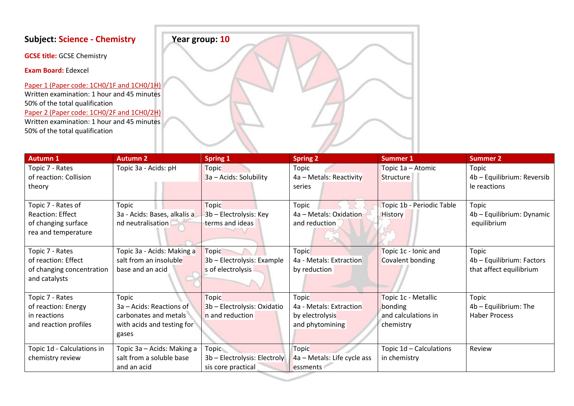**GCSE title:** GCSE Chemistry

**Exam Board:** Edexcel

Paper 1 (Paper code: 1CH0/1F and 1CH0/1H) Written examination: 1 hour and 45 minutes 50% of the total qualification Paper 2 (Paper code: 1CH0/2F and 1CH0/2H) Written examination: 1 hour and 45 minutes 50% of the total qualification



| <b>Autumn 1</b>            | <b>Autumn 2</b>              | <b>Spring 1</b>              | <b>Spring 2</b>             | <b>Summer 1</b>           | <b>Summer 2</b>            |
|----------------------------|------------------------------|------------------------------|-----------------------------|---------------------------|----------------------------|
| Topic 7 - Rates            | Topic 3a - Acids: pH         | <b>Topic</b>                 | Topic                       | Topic 1a - Atomic         | Topic                      |
| of reaction: Collision     |                              | 3a - Acids: Solubility       | 4a - Metals: Reactivity     | Structure                 | 4b - Equilibrium: Reversib |
| theory                     |                              |                              | series                      |                           | le reactions               |
|                            |                              |                              |                             |                           |                            |
| Topic 7 - Rates of         | Topic                        | <b>Topic</b>                 | Topic                       | Topic 1b - Periodic Table | Topic                      |
| <b>Reaction: Effect</b>    | 3a - Acids: Bases, alkalis a | 3b - Electrolysis: Key       | 4a - Metals: Oxidation      | <b>History</b>            | 4b - Equilibrium: Dynamic  |
| of changing surface        | nd neutralisation            | terms and ideas              | and reduction               |                           | equilibrium                |
| rea and temperature        |                              |                              |                             |                           |                            |
|                            |                              |                              |                             |                           |                            |
| Topic 7 - Rates            | Topic 3a - Acids: Making a   | <b>Topic</b>                 | <b>Topic</b>                | Topic 1c - Ionic and      | Topic                      |
| of reaction: Effect        | salt from an insoluble       | 3b - Electrolysis: Example   | 4a - Metals: Extraction     | Covalent bonding          | 4b - Equilibrium: Factors  |
| of changing concentration  | base and an acid             | s of electrolysis            | by reduction                |                           | that affect equilibrium    |
| and catalysts              |                              |                              |                             |                           |                            |
|                            |                              |                              |                             |                           |                            |
| Topic 7 - Rates            | Topic                        | <b>Topic</b>                 | Topic                       | Topic 1c - Metallic       | Topic                      |
| of reaction: Energy        | 3a - Acids: Reactions of     | 3b - Electrolysis: Oxidatio  | 4a - Metals: Extraction     | bonding                   | 4b - Equilibrium: The      |
| in reactions               | carbonates and metals        | n and reduction              | by electrolysis             | and calculations in       | <b>Haber Process</b>       |
| and reaction profiles      | with acids and testing for   |                              | and phytomining             | chemistry                 |                            |
|                            | gases                        |                              |                             |                           |                            |
|                            |                              |                              |                             |                           |                            |
| Topic 1d - Calculations in | Topic 3a – Acids: Making a   | Topic                        | <b>Topic</b>                | Topic 1d - Calculations   | Review                     |
| chemistry review           | salt from a soluble base     | 3b - Electrolysis: Electroly | 4a – Metals: Life cycle ass | in chemistry              |                            |
|                            | and an acid                  | sis core practical           | essments                    |                           |                            |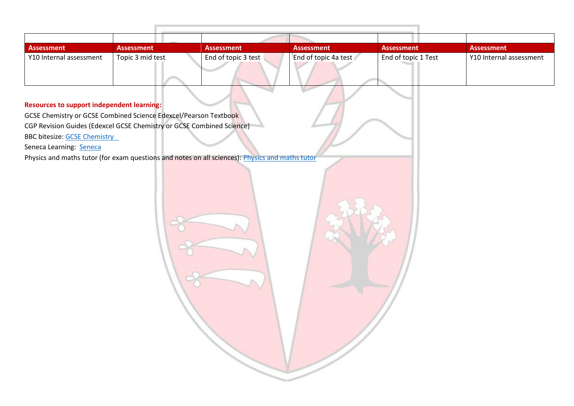| Assessment              | <b>Assessment</b> | <b>Assessment</b>   | <b>Assessment</b>    | <b>Assessment</b>   | <b>Assessment</b>       |
|-------------------------|-------------------|---------------------|----------------------|---------------------|-------------------------|
| Y10 Internal assessment | Topic 3 mid test  | End of topic 3 test | End of topic 4a test | End of topic 1 Test | Y10 Internal assessment |
|                         |                   |                     |                      |                     |                         |
|                         |                   |                     |                      |                     |                         |

GCSE Chemistry or GCSE Combined Science Edexcel/Pearson Textbook CGP Revision Guides (Edexcel GCSE Chemistry or GCSE Combined Science) BBC bitesize: GCSE Chemistry

Seneca Learning: [Seneca](https://senecalearning.com/en-GB/)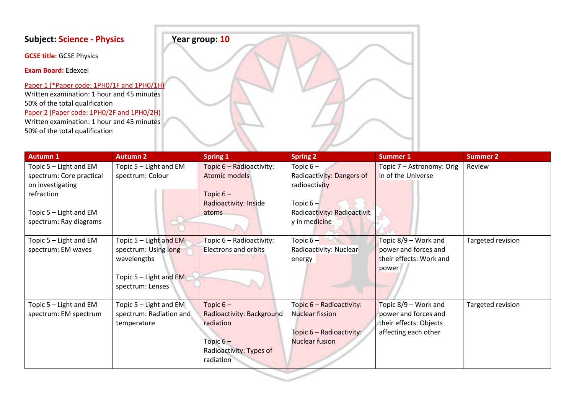**GCSE title:** GCSE Physics

**Exam Board:** Edexcel

Paper 1 (\*Paper code: 1PH0/1F and 1PH0/1H) Written examination: 1 hour and 45 minutes 50% of the total qualification Paper 2 (Paper code: 1PH0/2F and 1PH0/2H) Written examination: 1 hour and 45 minutes 50% of the total qualification



| <b>Autumn 1</b>                                                                                                                          | <b>Autumn 2</b>                                                                                                 | <b>Spring 1</b>                                                                                            | <b>Spring 2</b>                                                                                                         | <b>Summer 1</b>                                                                                | <b>Summer 2</b>   |
|------------------------------------------------------------------------------------------------------------------------------------------|-----------------------------------------------------------------------------------------------------------------|------------------------------------------------------------------------------------------------------------|-------------------------------------------------------------------------------------------------------------------------|------------------------------------------------------------------------------------------------|-------------------|
| Topic 5 - Light and EM<br>spectrum: Core practical<br>on investigating<br>refraction<br>Topic 5 - Light and EM<br>spectrum: Ray diagrams | Topic $5 -$ Light and EM<br>spectrum: Colour                                                                    | Topic 6 - Radioactivity:<br>Atomic models<br>Topic $6-$<br>Radioactivity: Inside<br>atoms                  | Topic $6-$<br>Radioactivity: Dangers of<br>radioactivity<br>Topic $6 -$<br>Radioactivity: Radioactivit<br>y in medicine | Topic 7 - Astronomy: Orig<br>in of the Universe                                                | Review            |
| Topic 5 - Light and EM<br>spectrum: EM waves                                                                                             | Topic $5 -$ Light and EM<br>spectrum: Using long<br>wavelengths<br>Topic $5 -$ Light and EM<br>spectrum: Lenses | Topic 6 - Radioactivity:<br><b>Electrons and orbits</b>                                                    | Topic $6-$<br>Radioactivity: Nuclear<br>energy                                                                          | Topic 8/9 - Work and<br>power and forces and<br>their effects: Work and<br>power               | Targeted revision |
| Topic 5 - Light and EM<br>spectrum: EM spectrum                                                                                          | Topic 5 - Light and EM<br>spectrum: Radiation and<br>temperature                                                | Topic $6-$<br>Radioactivity: Background<br>radiation<br>Topic $6-$<br>Radioactivity: Types of<br>radiation | Topic 6 - Radioactivity:<br><b>Nuclear fission</b><br>Topic 6 - Radioactivity:<br>Nuclear fusion                        | Topic 8/9 – Work and<br>power and forces and<br>their effects: Objects<br>affecting each other | Targeted revision |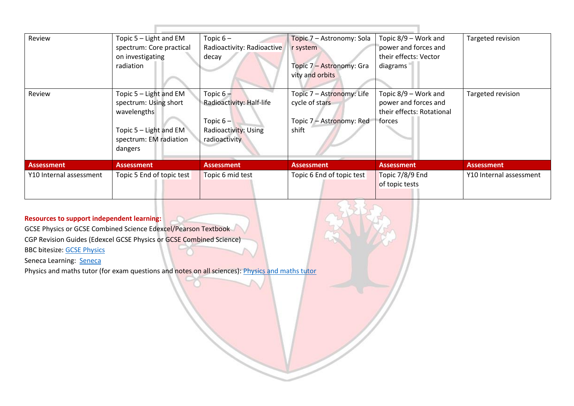| Review                  | Topic $5 -$ Light and EM<br>spectrum: Core practical<br>on investigating<br>radiation                                           | Topic $6-$<br>Radioactivity: Radioactive<br>decay                                               | Topic 7 - Astronomy: Sola<br>r system<br>Topic 7 - Astronomy: Gra<br>vity and orbits | Topic 8/9 – Work and<br>power and forces and<br>their effects: Vector<br>diagrams   | Targeted revision       |
|-------------------------|---------------------------------------------------------------------------------------------------------------------------------|-------------------------------------------------------------------------------------------------|--------------------------------------------------------------------------------------|-------------------------------------------------------------------------------------|-------------------------|
| Review                  | Topic 5 - Light and EM<br>spectrum: Using short<br>wavelengths<br>Topic $5 -$ Light and EM<br>spectrum: EM radiation<br>dangers | Topic $6 -$<br>Radioactivity: Half-life<br>Topic $6 -$<br>Radioactivity: Using<br>radioactivity | Topic 7 - Astronomy: Life<br>cycle of stars<br>Topic 7 - Astronomy: Red<br>shift     | Topic 8/9 – Work and<br>power and forces and<br>their effects: Rotational<br>forces | Targeted revision       |
| <b>Assessment</b>       | <b>Assessment</b>                                                                                                               | <b>Assessment</b>                                                                               | <b>Assessment</b>                                                                    | <b>Assessment</b>                                                                   | <b>Assessment</b>       |
| Y10 Internal assessment | Topic 5 End of topic test                                                                                                       | Topic 6 mid test                                                                                | Topic 6 End of topic test                                                            | Topic 7/8/9 End<br>of topic tests                                                   | Y10 Internal assessment |

GCSE Physics or GCSE Combined Science Edexcel/Pearson Textbook CGP Revision Guides (Edexcel GCSE Physics or GCSE Combined Science)

BBC bitesize: [GCSE Physics](https://www.bbc.co.uk/bitesize/subjects/zpm6fg8) 

Seneca Learning: [Seneca](https://senecalearning.com/en-GB/)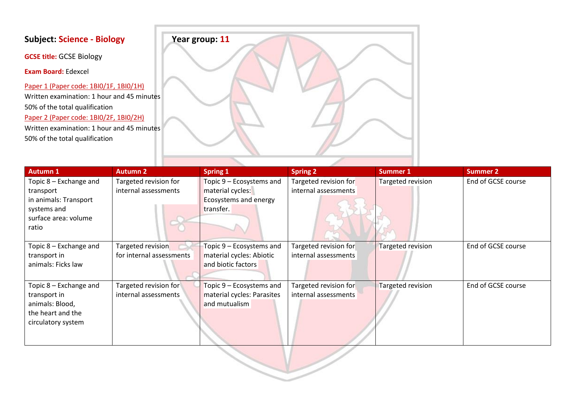**GCSE title:** GCSE Biology

**Exam Board:** Edexcel

Paper 1 (Paper code: 1BI0/1F, 1BI0/1H) Written examination: 1 hour and 45 minutes 50% of the total qualification Paper 2 (Paper code: 1BI0/2F, 1BI0/2H) Written examination: 1 hour and 45 minutes 50% of the total qualification



| <b>Autumn 1</b>        | <b>Autumn 2</b>          | <b>Spring 1</b>            | <b>Spring 2</b>       | Summer 1          | <b>Summer 2</b>    |
|------------------------|--------------------------|----------------------------|-----------------------|-------------------|--------------------|
| Topic 8 – Exchange and | Targeted revision for    | Topic 9 – Ecosystems and   | Targeted revision for | Targeted revision | End of GCSE course |
| transport              | internal assessments     | material cycles:           | internal assessments  |                   |                    |
| in animals: Transport  |                          | Ecosystems and energy      |                       |                   |                    |
| systems and            |                          | transfer.                  |                       |                   |                    |
| surface area: volume   |                          |                            |                       |                   |                    |
| ratio                  |                          |                            |                       |                   |                    |
|                        |                          |                            |                       |                   |                    |
| Topic 8 – Exchange and | Targeted revision        | Topic 9 – Ecosystems and   | Targeted revision for | Targeted revision | End of GCSE course |
| transport in           | for internal assessments | material cycles: Abiotic   | internal assessments  |                   |                    |
| animals: Ficks law     |                          | and biotic factors         |                       |                   |                    |
|                        |                          |                            |                       |                   |                    |
| Topic 8 – Exchange and | Targeted revision for    | Topic 9 – Ecosystems and   | Targeted revision for | Targeted revision | End of GCSE course |
| transport in           | internal assessments     | material cycles: Parasites | internal assessments  |                   |                    |
| animals: Blood,        |                          | and mutualism              |                       |                   |                    |
| the heart and the      |                          |                            |                       |                   |                    |
| circulatory system     |                          |                            |                       |                   |                    |
|                        |                          |                            |                       |                   |                    |
|                        |                          |                            |                       |                   |                    |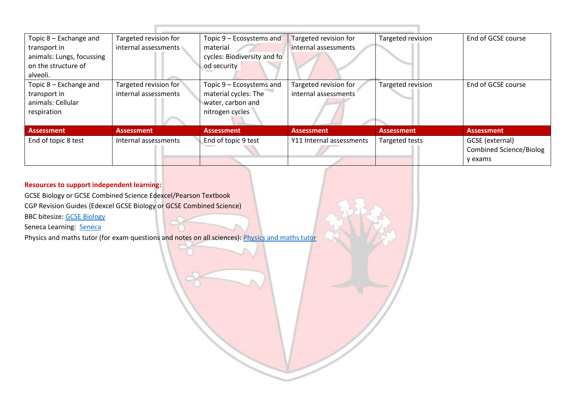| Topic 8 - Exchange and<br>transport in<br>animals: Lungs, focussing<br>on the structure of<br>alveoli. | Targeted revision for<br>internal assessments | Topic $9 -$ Ecosystems and<br>material<br>cycles: Biodiversity and fo<br>od security     | Targeted revision for<br>internal assessments | Targeted revision     | End of GCSE course                                           |
|--------------------------------------------------------------------------------------------------------|-----------------------------------------------|------------------------------------------------------------------------------------------|-----------------------------------------------|-----------------------|--------------------------------------------------------------|
| Topic 8 – Exchange and<br>transport in<br>animals: Cellular<br>respiration                             | Targeted revision for<br>internal assessments | Topic 9 – Ecosystems and<br>material cycles: The<br>water, carbon and<br>nitrogen cycles | Targeted revision for<br>internal assessments | Targeted revision     | End of GCSE course                                           |
| Assessment                                                                                             | <b>Assessment</b>                             | <b>Assessment</b>                                                                        | <b>Assessment</b>                             | <b>Assessment</b>     | <b>Assessment</b>                                            |
| End of topic 8 test                                                                                    | Internal assessments                          | End of topic 9 test                                                                      | Y11 Internal assessments                      | <b>Targeted tests</b> | GCSE (external)<br><b>Combined Science/Biolog</b><br>y exams |

GCSE Biology or GCSE Combined Science Edexcel/Pearson Textbook

CGP Revision Guides (Edexcel GCSE Biology or GCSE Combined Science)

BBC bitesize: [GCSE Biology](https://www.bbc.co.uk/bitesize/subjects/z9ddmp3) 

Seneca Learning: [Seneca](https://senecalearning.com/en-GB/)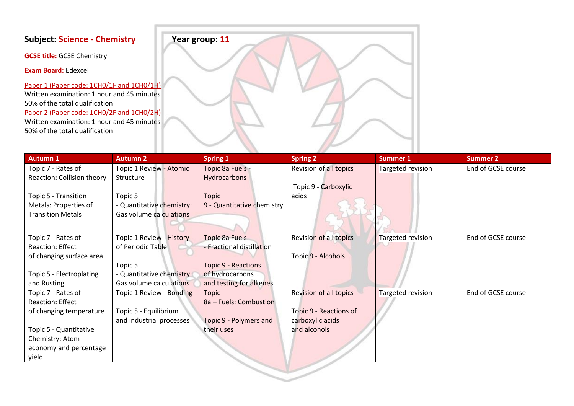**GCSE title:** GCSE Chemistry

**Exam Board:** Edexcel

Paper 1 (Paper code: 1CH0/1F and 1CH0/1H) Written examination: 1 hour and 45 minutes 50% of the total qualification Paper 2 (Paper code: 1CH0/2F and 1CH0/2H) Written examination: 1 hour and 45 minutes 50% of the total qualification



| <b>Autumn 1</b>            | <b>Autumn 2</b>           | <b>Spring 1</b>            | <b>Spring 2</b>               | <b>Summer 1</b>   | <b>Summer 2</b>    |
|----------------------------|---------------------------|----------------------------|-------------------------------|-------------------|--------------------|
| Topic 7 - Rates of         | Topic 1 Review - Atomic   | Topic 8a Fuels -           | Revision of all topics        | Targeted revision | End of GCSE course |
| Reaction: Collision theory | Structure                 | Hydrocarbons               |                               |                   |                    |
|                            |                           |                            | Topic 9 - Carboxylic          |                   |                    |
| Topic 5 - Transition       | Topic 5                   | <b>Topic</b>               | acids                         |                   |                    |
| Metals: Properties of      | - Quantitative chemistry: | 9 - Quantitative chemistry |                               |                   |                    |
| <b>Transition Metals</b>   | Gas volume calculations   |                            |                               |                   |                    |
|                            |                           |                            |                               |                   |                    |
| Topic 7 - Rates of         | Topic 1 Review - History  | Topic 8a Fuels             | Revision of all topics        | Targeted revision | End of GCSE course |
| <b>Reaction: Effect</b>    | of Periodic Table         | - Fractional distillation  |                               |                   |                    |
| of changing surface area   |                           |                            | Topic 9 - Alcohols            |                   |                    |
|                            | Topic 5                   | <b>Topic 9 - Reactions</b> |                               |                   |                    |
| Topic 5 - Electroplating   | - Quantitative chemistry: | of hydrocarbons            |                               |                   |                    |
| and Rusting                | Gas volume calculations   | and testing for alkenes    |                               |                   |                    |
| Topic 7 - Rates of         | Topic 1 Review - Bonding  | Topic                      | <b>Revision of all topics</b> | Targeted revision | End of GCSE course |
| Reaction: Effect           |                           | 8a - Fuels: Combustion     |                               |                   |                    |
| of changing temperature    | Topic 5 - Equilibrium     |                            | Topic 9 - Reactions of        |                   |                    |
|                            | and industrial processes  | Topic 9 - Polymers and     | carboxylic acids              |                   |                    |
| Topic 5 - Quantitative     |                           | their uses                 | and alcohols                  |                   |                    |
| Chemistry: Atom            |                           |                            |                               |                   |                    |
| economy and percentage     |                           |                            |                               |                   |                    |
| yield                      |                           |                            |                               |                   |                    |

 $\sim$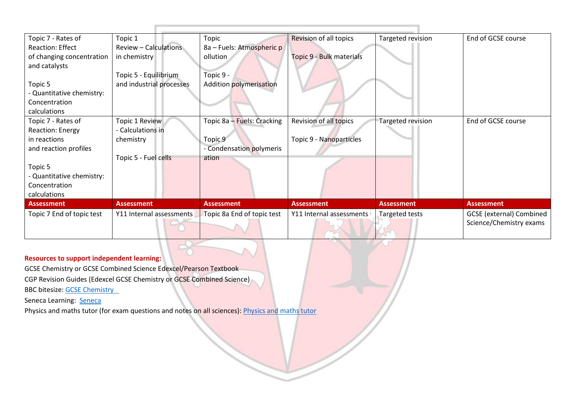| Topic 7 - Rates of        | Topic 1                      | Topic                      | Revision of all topics   | Targeted revision | End of GCSE course              |
|---------------------------|------------------------------|----------------------------|--------------------------|-------------------|---------------------------------|
| <b>Reaction: Effect</b>   | <b>Review - Calculations</b> | 8a – Fuels: Atmospheric p  |                          |                   |                                 |
| of changing concentration | in chemistry                 | ollution                   | Topic 9 - Bulk materials |                   |                                 |
| and catalysts             |                              |                            |                          |                   |                                 |
|                           | Topic 5 - Equilibrium        | Topic 9 -                  |                          |                   |                                 |
| Topic 5                   | and industrial processes     | Addition polymerisation    |                          |                   |                                 |
| - Quantitative chemistry: |                              |                            |                          |                   |                                 |
| Concentration             |                              |                            |                          |                   |                                 |
| calculations              |                              |                            |                          |                   |                                 |
| Topic 7 - Rates of        | Topic 1 Review               | Topic 8a - Fuels: Cracking | Revision of all topics   | Targeted revision | End of GCSE course              |
| <b>Reaction: Energy</b>   | - Calculations in            |                            |                          |                   |                                 |
| in reactions              | chemistry                    | Topic 9                    | Topic 9 - Nanoparticles  |                   |                                 |
| and reaction profiles     |                              | - Condensation polymeris   |                          |                   |                                 |
|                           | Topic 5 - Fuel cells         | ation                      |                          |                   |                                 |
| Topic 5                   |                              |                            |                          |                   |                                 |
| - Quantitative chemistry: |                              |                            |                          |                   |                                 |
| Concentration             |                              |                            |                          |                   |                                 |
| calculations              |                              |                            |                          |                   |                                 |
| <b>Assessment</b>         | <b>Assessment</b>            | <b>Assessment</b>          | <b>Assessment</b>        | <b>Assessment</b> | <b>Assessment</b>               |
| Topic 7 End of topic test | Y11 Internal assessments     | Topic 8a End of topic test | Y11 Internal assessments | Targeted tests    | <b>GCSE</b> (external) Combined |
|                           |                              |                            |                          |                   | Science/Chemistry exams         |

GCSE Chemistry or GCSE Combined Science Edexcel/Pearson Textbook

CGP Revision Guides (Edexcel GCSE Chemistry or GCSE Combined Science)

BBC bitesize: [GCSE Chemistry](https://www.bbc.co.uk/bitesize/examspecs/zy984j6) 

Seneca Learning: [Seneca](https://senecalearning.com/en-GB/)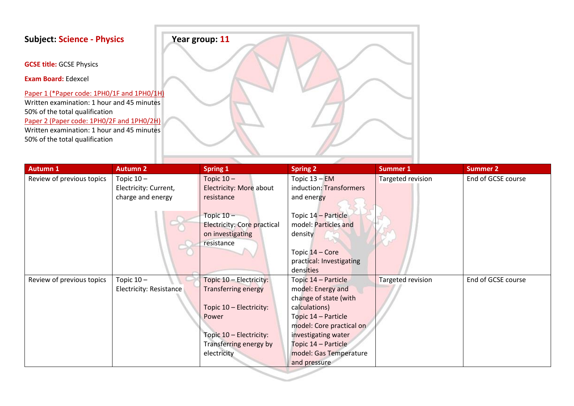**GCSE title:** GCSE Physics

**Exam Board:** Edexcel

Paper 1 (\*Paper code: 1PH0/1F and 1PH0/1H) Written examination: 1 hour and 45 minutes 50% of the total qualification Paper 2 (Paper code: 1PH0/2F and 1PH0/2H) Written examination: 1 hour and 45 minutes 50% of the total qualification



| <b>Autumn 1</b>           | <b>Autumn 2</b>         | <b>Spring 1</b>             | <b>Spring 2</b>          | Summer 1          | <b>Summer 2</b>    |
|---------------------------|-------------------------|-----------------------------|--------------------------|-------------------|--------------------|
| Review of previous topics | Topic $10 -$            | Topic $10 -$                | Topic $13 - EM$          | Targeted revision | End of GCSE course |
|                           | Electricity: Current,   | Electricity: More about     | induction: Transformers  |                   |                    |
|                           | charge and energy       | resistance                  | and energy               |                   |                    |
|                           |                         |                             |                          |                   |                    |
|                           |                         | Topic $10 -$                | Topic 14 - Particle      |                   |                    |
|                           |                         | Electricity: Core practical | model: Particles and     |                   |                    |
|                           |                         | on investigating            | density                  |                   |                    |
|                           |                         | resistance                  |                          |                   |                    |
|                           |                         |                             | Topic 14 - Core          |                   |                    |
|                           |                         |                             | practical: Investigating |                   |                    |
|                           |                         |                             | densities                |                   |                    |
| Review of previous topics | Topic $10 -$            | Topic 10 - Electricity:     | Topic 14 - Particle      | Targeted revision | End of GCSE course |
|                           | Electricity: Resistance | <b>Transferring energy</b>  | model: Energy and        |                   |                    |
|                           |                         |                             | change of state (with    |                   |                    |
|                           |                         | Topic 10 - Electricity:     | calculations)            |                   |                    |
|                           |                         | Power                       | Topic 14 – Particle      |                   |                    |
|                           |                         |                             | model: Core practical on |                   |                    |
|                           |                         | Topic 10 - Electricity:     | investigating water      |                   |                    |
|                           |                         | Transferring energy by      | Topic 14 - Particle      |                   |                    |
|                           |                         | electricity                 | model: Gas Temperature   |                   |                    |
|                           |                         |                             | and pressure             |                   |                    |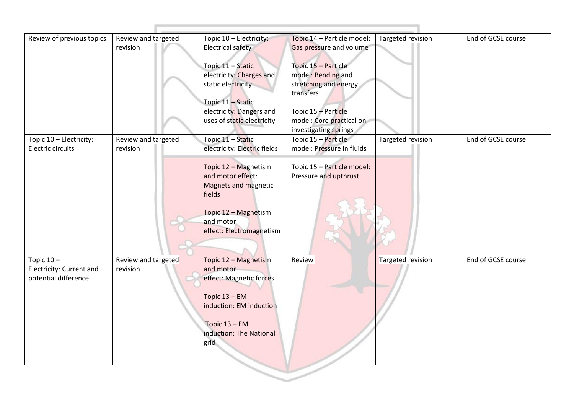| Review of previous topics                                       | Review and targeted<br>revision | Topic 10 - Electricity:<br><b>Electrical safety</b><br>Topic 11 - Static<br>electricity: Charges and<br>static electricity<br>Topic 11 - Static<br>electricity: Dangers and<br>uses of static electricity | Topic 14 - Particle model:<br>Gas pressure and volume<br>Topic 15 - Particle<br>model: Bending and<br>stretching and energy<br>transfers<br>Topic 15 - Particle<br>model: Core practical on<br>investigating springs | Targeted revision | End of GCSE course |
|-----------------------------------------------------------------|---------------------------------|-----------------------------------------------------------------------------------------------------------------------------------------------------------------------------------------------------------|----------------------------------------------------------------------------------------------------------------------------------------------------------------------------------------------------------------------|-------------------|--------------------|
| Topic 10 - Electricity:<br>Electric circuits                    | Review and targeted<br>revision | Topic 11 - Static<br>electricity: Electric fields<br>Topic 12 - Magnetism<br>and motor effect:<br><b>Magnets and magnetic</b><br>fields<br>Topic 12 - Magnetism<br>and motor<br>effect: Electromagnetism  | Topic 15 - Particle<br>model: Pressure in fluids<br>Topic 15 - Particle model:<br>Pressure and upthrust                                                                                                              | Targeted revision | End of GCSE course |
| Topic $10-$<br>Electricity: Current and<br>potential difference | Review and targeted<br>revision | Topic 12 - Magnetism<br>and motor<br>effect: Magnetic forces<br>Topic $13 - EM$<br>induction: EM induction<br>Topic $13 - EM$<br>induction: The National<br>grid                                          | Review                                                                                                                                                                                                               | Targeted revision | End of GCSE course |

그 사람들은 그 사람들은 그 사람들을 지금 모르겠다. 그 사람들은 그 사람들은 그 사람들은 그 사람들을 지금 모르겠다.

 $185$